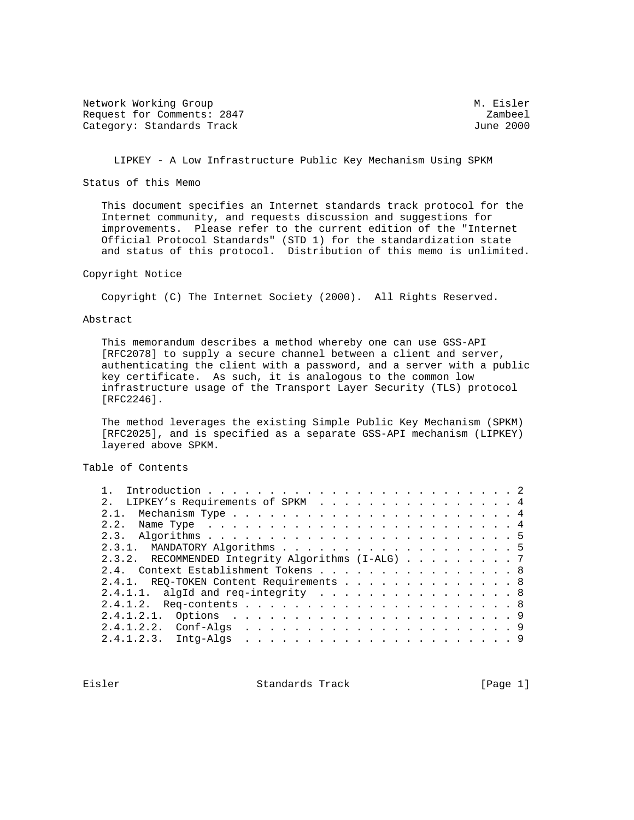Network Working Group Methods and Methods M. Eisler Request for Comments: 2847 Zambeel<br>Category: Standards Track Category: Standards Track Category: Standards Track

LIPKEY - A Low Infrastructure Public Key Mechanism Using SPKM

Status of this Memo

 This document specifies an Internet standards track protocol for the Internet community, and requests discussion and suggestions for improvements. Please refer to the current edition of the "Internet Official Protocol Standards" (STD 1) for the standardization state and status of this protocol. Distribution of this memo is unlimited.

Copyright Notice

Copyright (C) The Internet Society (2000). All Rights Reserved.

Abstract

 This memorandum describes a method whereby one can use GSS-API [RFC2078] to supply a secure channel between a client and server, authenticating the client with a password, and a server with a public key certificate. As such, it is analogous to the common low infrastructure usage of the Transport Layer Security (TLS) protocol [RFC2246].

 The method leverages the existing Simple Public Key Mechanism (SPKM) [RFC2025], and is specified as a separate GSS-API mechanism (LIPKEY) layered above SPKM.

Table of Contents

| 2. LIPKEY's Requirements of SPKM 4                |  |
|---------------------------------------------------|--|
|                                                   |  |
|                                                   |  |
|                                                   |  |
|                                                   |  |
| 2.3.2. RECOMMENDED Integrity Algorithms (I-ALG) 7 |  |
| 2.4. Context Establishment Tokens 8               |  |
| 2.4.1. REQ-TOKEN Content Requirements 8           |  |
| 2.4.1.1. algId and req-integrity 8                |  |
|                                                   |  |
|                                                   |  |
|                                                   |  |
|                                                   |  |
|                                                   |  |

Eisler Standards Track [Page 1]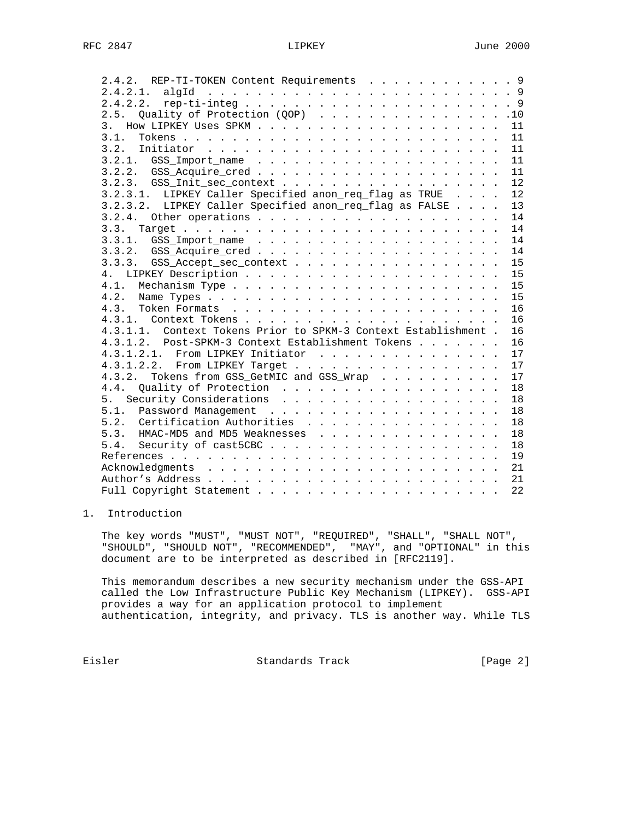| 2.4.2. REP-TI-TOKEN Content Requirements 9                      |    |
|-----------------------------------------------------------------|----|
|                                                                 |    |
|                                                                 |    |
| 2.5. Quality of Protection (QOP) 10                             |    |
|                                                                 |    |
| 3.1.                                                            |    |
|                                                                 |    |
|                                                                 |    |
|                                                                 |    |
|                                                                 | 12 |
| 3.2.3.1. LIPKEY Caller Specified anon_req_flag as TRUE          | 12 |
| 3.2.3.2. LIPKEY Caller Specified anon_req_flag as FALSE         | 13 |
|                                                                 | 14 |
|                                                                 | 14 |
|                                                                 | 14 |
|                                                                 | 14 |
|                                                                 | 15 |
|                                                                 | 15 |
|                                                                 | 15 |
|                                                                 | 15 |
|                                                                 | 16 |
|                                                                 | 16 |
| 4.3.1.1. Context Tokens Prior to SPKM-3 Context Establishment . | 16 |
| 4.3.1.2. Post-SPKM-3 Context Establishment Tokens               | 16 |
| 4.3.1.2.1. From LIPKEY Initiator                                | 17 |
| 4.3.1.2.2. From LIPKEY Target                                   | 17 |
| 4.3.2. Tokens from GSS_GetMIC and GSS_Wrap                      | 17 |
|                                                                 | 18 |
|                                                                 | 18 |
|                                                                 | 18 |
| 5.2. Certification Authorities                                  | 18 |
| 5.3. HMAC-MD5 and MD5 Weaknesses                                | 18 |
|                                                                 | 18 |
|                                                                 | 19 |
|                                                                 | 21 |
|                                                                 | 21 |
|                                                                 | 22 |
|                                                                 |    |

# 1. Introduction

 The key words "MUST", "MUST NOT", "REQUIRED", "SHALL", "SHALL NOT", "SHOULD", "SHOULD NOT", "RECOMMENDED", "MAY", and "OPTIONAL" in this document are to be interpreted as described in [RFC2119].

 This memorandum describes a new security mechanism under the GSS-API called the Low Infrastructure Public Key Mechanism (LIPKEY). GSS-API provides a way for an application protocol to implement authentication, integrity, and privacy. TLS is another way. While TLS

Eisler Standards Track [Page 2]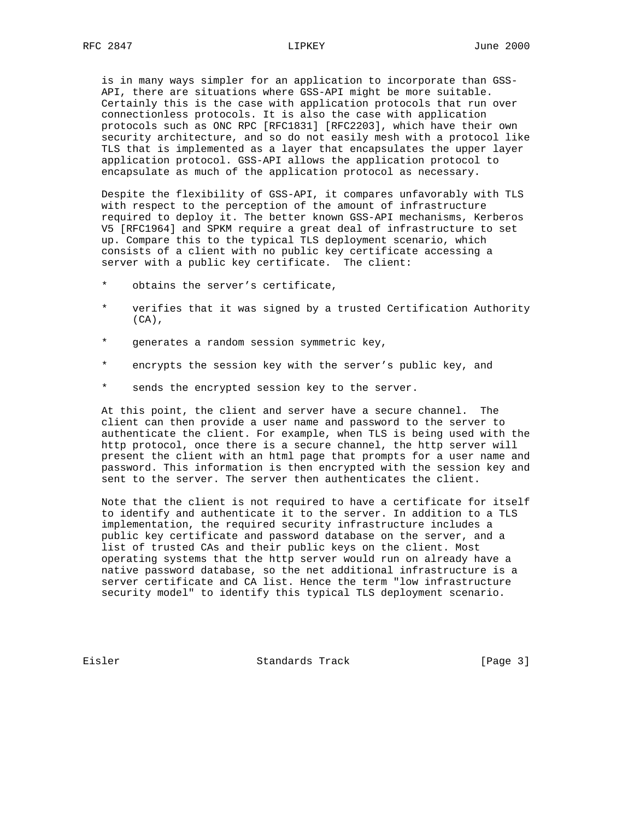is in many ways simpler for an application to incorporate than GSS- API, there are situations where GSS-API might be more suitable. Certainly this is the case with application protocols that run over connectionless protocols. It is also the case with application protocols such as ONC RPC [RFC1831] [RFC2203], which have their own security architecture, and so do not easily mesh with a protocol like TLS that is implemented as a layer that encapsulates the upper layer application protocol. GSS-API allows the application protocol to encapsulate as much of the application protocol as necessary.

 Despite the flexibility of GSS-API, it compares unfavorably with TLS with respect to the perception of the amount of infrastructure required to deploy it. The better known GSS-API mechanisms, Kerberos V5 [RFC1964] and SPKM require a great deal of infrastructure to set up. Compare this to the typical TLS deployment scenario, which consists of a client with no public key certificate accessing a server with a public key certificate. The client:

- obtains the server's certificate,
- \* verifies that it was signed by a trusted Certification Authority  $(CA)$ ,
- \* generates a random session symmetric key,
- \* encrypts the session key with the server's public key, and
- \* sends the encrypted session key to the server.

 At this point, the client and server have a secure channel. The client can then provide a user name and password to the server to authenticate the client. For example, when TLS is being used with the http protocol, once there is a secure channel, the http server will present the client with an html page that prompts for a user name and password. This information is then encrypted with the session key and sent to the server. The server then authenticates the client.

 Note that the client is not required to have a certificate for itself to identify and authenticate it to the server. In addition to a TLS implementation, the required security infrastructure includes a public key certificate and password database on the server, and a list of trusted CAs and their public keys on the client. Most operating systems that the http server would run on already have a native password database, so the net additional infrastructure is a server certificate and CA list. Hence the term "low infrastructure security model" to identify this typical TLS deployment scenario.

Eisler Standards Track [Page 3]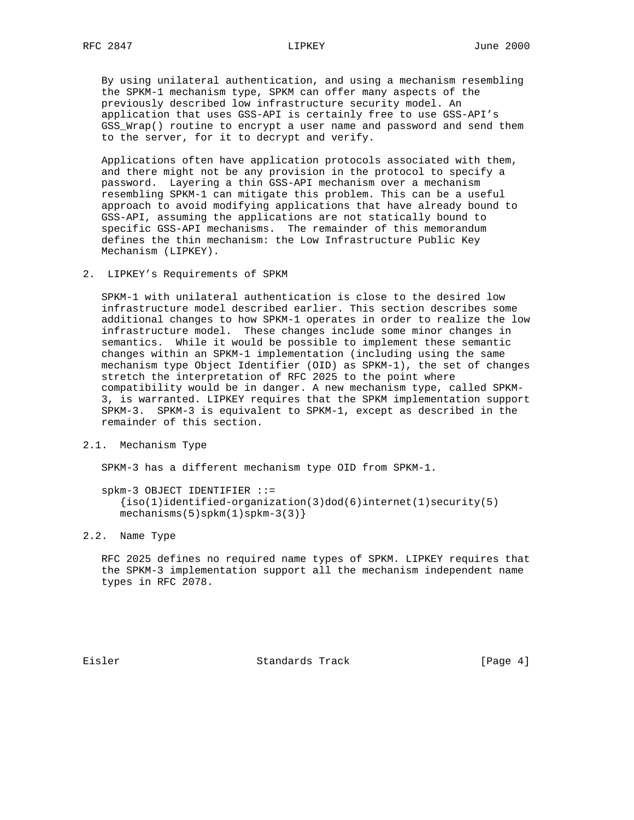By using unilateral authentication, and using a mechanism resembling the SPKM-1 mechanism type, SPKM can offer many aspects of the previously described low infrastructure security model. An application that uses GSS-API is certainly free to use GSS-API's GSS\_Wrap() routine to encrypt a user name and password and send them to the server, for it to decrypt and verify.

 Applications often have application protocols associated with them, and there might not be any provision in the protocol to specify a password. Layering a thin GSS-API mechanism over a mechanism resembling SPKM-1 can mitigate this problem. This can be a useful approach to avoid modifying applications that have already bound to GSS-API, assuming the applications are not statically bound to specific GSS-API mechanisms. The remainder of this memorandum defines the thin mechanism: the Low Infrastructure Public Key Mechanism (LIPKEY).

2. LIPKEY's Requirements of SPKM

 SPKM-1 with unilateral authentication is close to the desired low infrastructure model described earlier. This section describes some additional changes to how SPKM-1 operates in order to realize the low infrastructure model. These changes include some minor changes in semantics. While it would be possible to implement these semantic changes within an SPKM-1 implementation (including using the same mechanism type Object Identifier (OID) as SPKM-1), the set of changes stretch the interpretation of RFC 2025 to the point where compatibility would be in danger. A new mechanism type, called SPKM- 3, is warranted. LIPKEY requires that the SPKM implementation support SPKM-3. SPKM-3 is equivalent to SPKM-1, except as described in the remainder of this section.

2.1. Mechanism Type

SPKM-3 has a different mechanism type OID from SPKM-1.

```
 spkm-3 OBJECT IDENTIFIER ::=
  \{iso(1)identified-organization(3)dod(6)internet(1)security(5)
 mechanisms(5)spkm(1)spkm-3(3)}
```
2.2. Name Type

 RFC 2025 defines no required name types of SPKM. LIPKEY requires that the SPKM-3 implementation support all the mechanism independent name types in RFC 2078.

Eisler Standards Track [Page 4]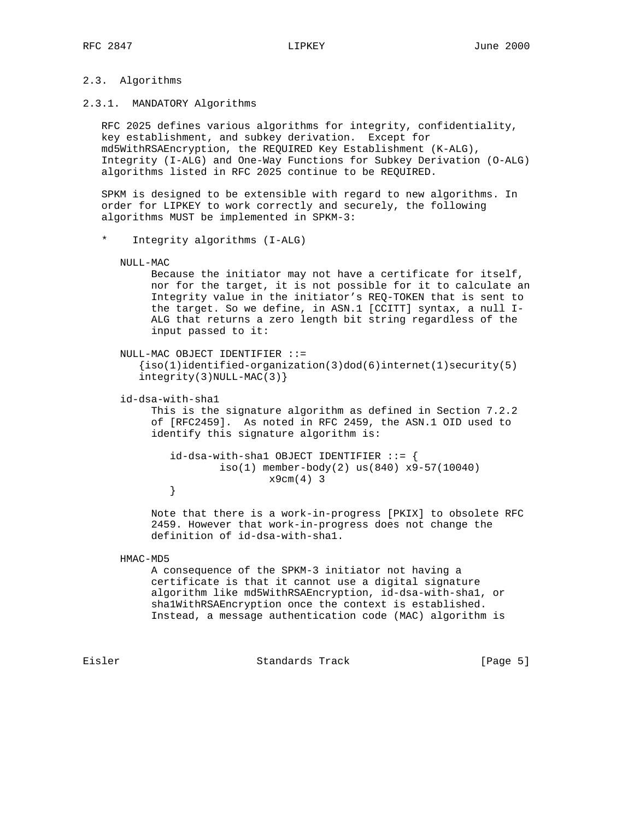# 2.3. Algorithms

### 2.3.1. MANDATORY Algorithms

 RFC 2025 defines various algorithms for integrity, confidentiality, key establishment, and subkey derivation. Except for md5WithRSAEncryption, the REQUIRED Key Establishment (K-ALG), Integrity (I-ALG) and One-Way Functions for Subkey Derivation (O-ALG) algorithms listed in RFC 2025 continue to be REQUIRED.

 SPKM is designed to be extensible with regard to new algorithms. In order for LIPKEY to work correctly and securely, the following algorithms MUST be implemented in SPKM-3:

Integrity algorithms (I-ALG)

#### NULL-MAC

 Because the initiator may not have a certificate for itself, nor for the target, it is not possible for it to calculate an Integrity value in the initiator's REQ-TOKEN that is sent to the target. So we define, in ASN.1 [CCITT] syntax, a null I- ALG that returns a zero length bit string regardless of the input passed to it:

```
 NULL-MAC OBJECT IDENTIFIER ::=
  \{iso(1)identified-organization(3)dod(6)internet(1)security(5)
  integrity(3) NULL-MAC(3)
```
id-dsa-with-sha1

 This is the signature algorithm as defined in Section 7.2.2 of [RFC2459]. As noted in RFC 2459, the ASN.1 OID used to identify this signature algorithm is:

```
id-dsa-with-shell OBJECT IDENTIFYER ::= iso(1) member-body(2) us(840) x9-57(10040)
         x9cm(4) 3
}
```
 Note that there is a work-in-progress [PKIX] to obsolete RFC 2459. However that work-in-progress does not change the definition of id-dsa-with-sha1.

HMAC-MD5

 A consequence of the SPKM-3 initiator not having a certificate is that it cannot use a digital signature algorithm like md5WithRSAEncryption, id-dsa-with-sha1, or sha1WithRSAEncryption once the context is established. Instead, a message authentication code (MAC) algorithm is

Eisler Standards Track [Page 5]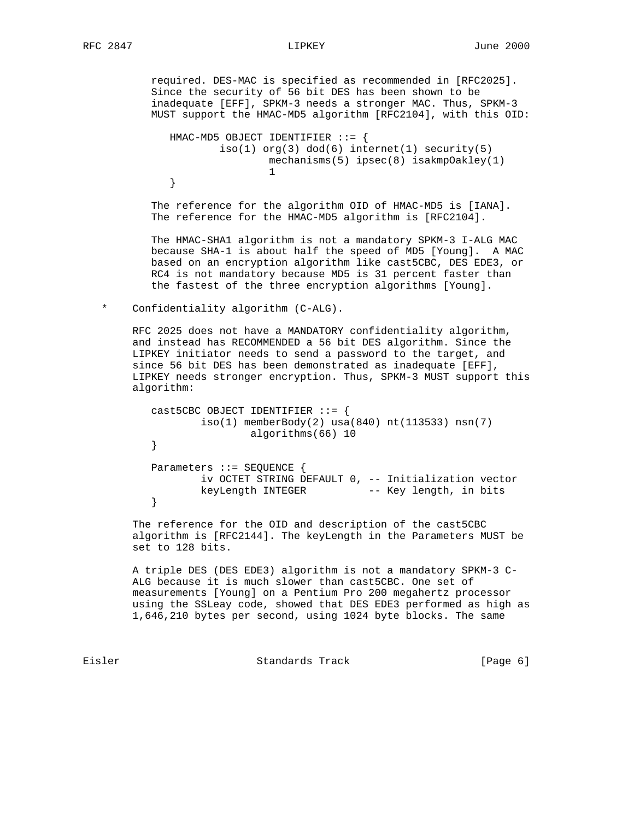required. DES-MAC is specified as recommended in [RFC2025]. Since the security of 56 bit DES has been shown to be inadequate [EFF], SPKM-3 needs a stronger MAC. Thus, SPKM-3 MUST support the HMAC-MD5 algorithm [RFC2104], with this OID:

```
 HMAC-MD5 OBJECT IDENTIFIER ::= {
               iso(1) org(3) dod(6) internet(1) security(5) mechanisms(5) ipsec(8) isakmpOakley(1)
1
}
```
 The reference for the algorithm OID of HMAC-MD5 is [IANA]. The reference for the HMAC-MD5 algorithm is [RFC2104].

 The HMAC-SHA1 algorithm is not a mandatory SPKM-3 I-ALG MAC because SHA-1 is about half the speed of MD5 [Young]. A MAC based on an encryption algorithm like cast5CBC, DES EDE3, or RC4 is not mandatory because MD5 is 31 percent faster than the fastest of the three encryption algorithms [Young].

## \* Confidentiality algorithm (C-ALG).

 RFC 2025 does not have a MANDATORY confidentiality algorithm, and instead has RECOMMENDED a 56 bit DES algorithm. Since the LIPKEY initiator needs to send a password to the target, and since 56 bit DES has been demonstrated as inadequate [EFF], LIPKEY needs stronger encryption. Thus, SPKM-3 MUST support this algorithm:

```
cast5CBC OBJECT IDENTIFIER ::= {
               iso(1) memberBody(2) usa(840) nt(113533) nsn(7)
        algorithms(66) 10<br>}
}
        Parameters ::= SEQUENCE {
               iv OCTET STRING DEFAULT 0, -- Initialization vector
        keyLength INTEGER -- Key length, in bits
}
```
 The reference for the OID and description of the cast5CBC algorithm is [RFC2144]. The keyLength in the Parameters MUST be set to 128 bits.

 A triple DES (DES EDE3) algorithm is not a mandatory SPKM-3 C- ALG because it is much slower than cast5CBC. One set of measurements [Young] on a Pentium Pro 200 megahertz processor using the SSLeay code, showed that DES EDE3 performed as high as 1,646,210 bytes per second, using 1024 byte blocks. The same

Eisler Standards Track [Page 6]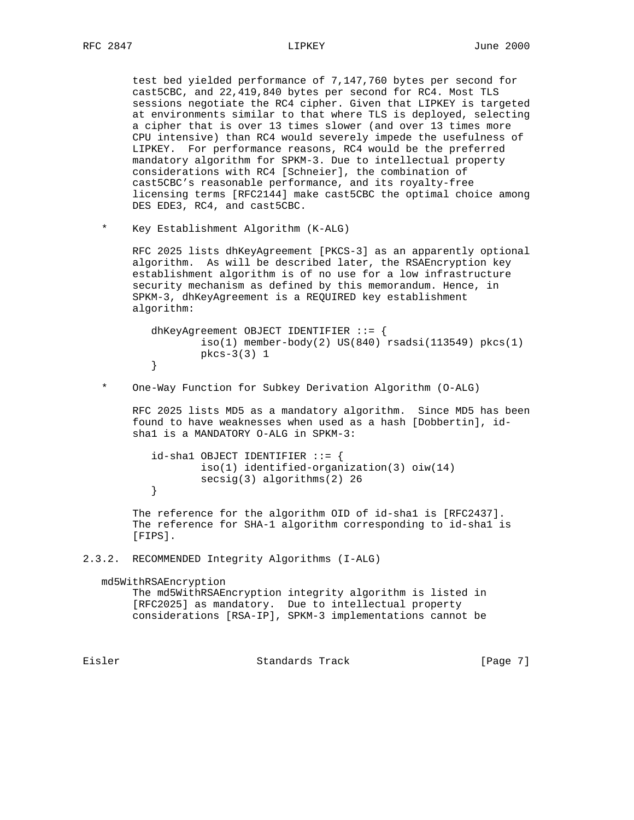test bed yielded performance of 7,147,760 bytes per second for cast5CBC, and 22,419,840 bytes per second for RC4. Most TLS sessions negotiate the RC4 cipher. Given that LIPKEY is targeted at environments similar to that where TLS is deployed, selecting a cipher that is over 13 times slower (and over 13 times more CPU intensive) than RC4 would severely impede the usefulness of LIPKEY. For performance reasons, RC4 would be the preferred mandatory algorithm for SPKM-3. Due to intellectual property considerations with RC4 [Schneier], the combination of cast5CBC's reasonable performance, and its royalty-free licensing terms [RFC2144] make cast5CBC the optimal choice among DES EDE3, RC4, and cast5CBC.

\* Key Establishment Algorithm (K-ALG)

 RFC 2025 lists dhKeyAgreement [PKCS-3] as an apparently optional algorithm. As will be described later, the RSAEncryption key establishment algorithm is of no use for a low infrastructure security mechanism as defined by this memorandum. Hence, in SPKM-3, dhKeyAgreement is a REQUIRED key establishment algorithm:

 dhKeyAgreement OBJECT IDENTIFIER ::= {  $iso(1)$  member-body $(2)$  US $(840)$  rsadsi $(113549)$  pkcs $(1)$ pkcs-3(3) 1<br>} }

\* One-Way Function for Subkey Derivation Algorithm (O-ALG)

 RFC 2025 lists MD5 as a mandatory algorithm. Since MD5 has been found to have weaknesses when used as a hash [Dobbertin], id sha1 is a MANDATORY O-ALG in SPKM-3:

```
id-sha1 OBJECT IDENTIFIER ::= {
                 iso(1) identified-organization(3) oiw(14)
        secsig(3) algorithms(2) 26<br>}
}
```
 The reference for the algorithm OID of id-sha1 is [RFC2437]. The reference for SHA-1 algorithm corresponding to id-sha1 is [FIPS].

```
2.3.2. RECOMMENDED Integrity Algorithms (I-ALG)
```
md5WithRSAEncryption

```
 The md5WithRSAEncryption integrity algorithm is listed in
[RFC2025] as mandatory. Due to intellectual property
considerations [RSA-IP], SPKM-3 implementations cannot be
```
Eisler Standards Track [Page 7]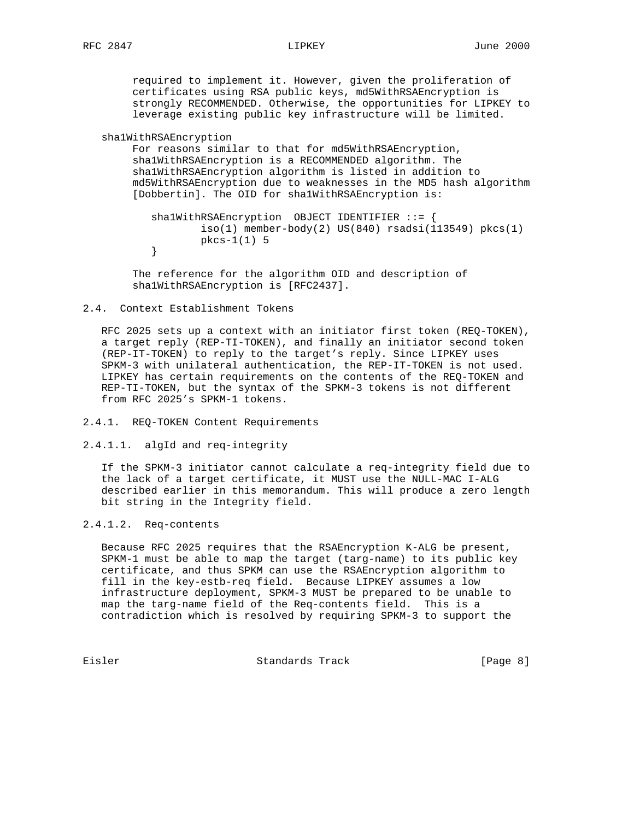required to implement it. However, given the proliferation of certificates using RSA public keys, md5WithRSAEncryption is strongly RECOMMENDED. Otherwise, the opportunities for LIPKEY to leverage existing public key infrastructure will be limited.

```
 sha1WithRSAEncryption
```
 For reasons similar to that for md5WithRSAEncryption, sha1WithRSAEncryption is a RECOMMENDED algorithm. The sha1WithRSAEncryption algorithm is listed in addition to md5WithRSAEncryption due to weaknesses in the MD5 hash algorithm [Dobbertin]. The OID for sha1WithRSAEncryption is:

```
 sha1WithRSAEncryption OBJECT IDENTIFIER ::= {
               iso(1) member-body(2) US(840) rsadsi(113549) pkcs(1)
        pkcs-1(1) 5
}
```
 The reference for the algorithm OID and description of sha1WithRSAEncryption is [RFC2437].

#### 2.4. Context Establishment Tokens

 RFC 2025 sets up a context with an initiator first token (REQ-TOKEN), a target reply (REP-TI-TOKEN), and finally an initiator second token (REP-IT-TOKEN) to reply to the target's reply. Since LIPKEY uses SPKM-3 with unilateral authentication, the REP-IT-TOKEN is not used. LIPKEY has certain requirements on the contents of the REQ-TOKEN and REP-TI-TOKEN, but the syntax of the SPKM-3 tokens is not different from RFC 2025's SPKM-1 tokens.

## 2.4.1. REQ-TOKEN Content Requirements

2.4.1.1. algId and req-integrity

 If the SPKM-3 initiator cannot calculate a req-integrity field due to the lack of a target certificate, it MUST use the NULL-MAC I-ALG described earlier in this memorandum. This will produce a zero length bit string in the Integrity field.

## 2.4.1.2. Req-contents

 Because RFC 2025 requires that the RSAEncryption K-ALG be present, SPKM-1 must be able to map the target (targ-name) to its public key certificate, and thus SPKM can use the RSAEncryption algorithm to fill in the key-estb-req field. Because LIPKEY assumes a low infrastructure deployment, SPKM-3 MUST be prepared to be unable to map the targ-name field of the Req-contents field. This is a contradiction which is resolved by requiring SPKM-3 to support the

Eisler Standards Track [Page 8]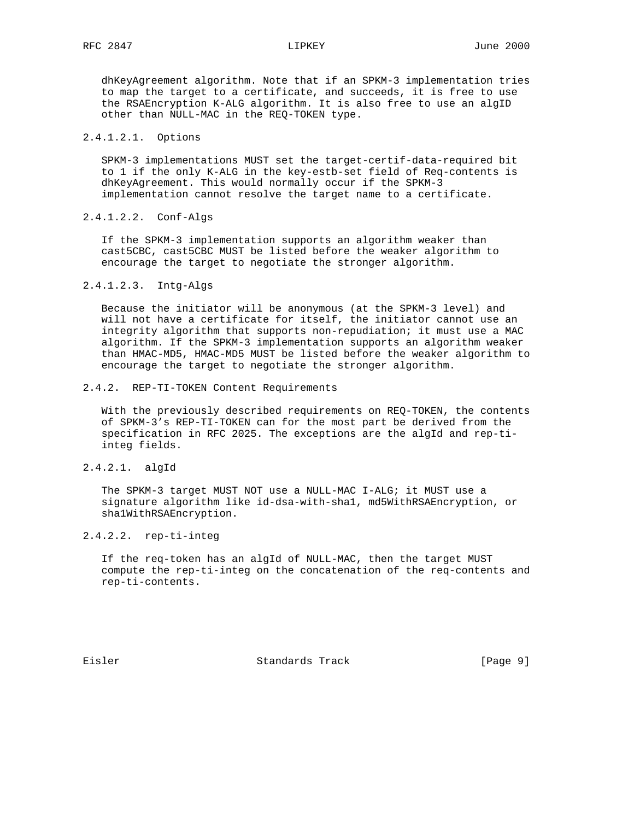dhKeyAgreement algorithm. Note that if an SPKM-3 implementation tries to map the target to a certificate, and succeeds, it is free to use the RSAEncryption K-ALG algorithm. It is also free to use an algID other than NULL-MAC in the REQ-TOKEN type.

## 2.4.1.2.1. Options

 SPKM-3 implementations MUST set the target-certif-data-required bit to 1 if the only K-ALG in the key-estb-set field of Req-contents is dhKeyAgreement. This would normally occur if the SPKM-3 implementation cannot resolve the target name to a certificate.

### 2.4.1.2.2. Conf-Algs

 If the SPKM-3 implementation supports an algorithm weaker than cast5CBC, cast5CBC MUST be listed before the weaker algorithm to encourage the target to negotiate the stronger algorithm.

#### 2.4.1.2.3. Intg-Algs

 Because the initiator will be anonymous (at the SPKM-3 level) and will not have a certificate for itself, the initiator cannot use an integrity algorithm that supports non-repudiation; it must use a MAC algorithm. If the SPKM-3 implementation supports an algorithm weaker than HMAC-MD5, HMAC-MD5 MUST be listed before the weaker algorithm to encourage the target to negotiate the stronger algorithm.

### 2.4.2. REP-TI-TOKEN Content Requirements

 With the previously described requirements on REQ-TOKEN, the contents of SPKM-3's REP-TI-TOKEN can for the most part be derived from the specification in RFC 2025. The exceptions are the algId and rep-ti integ fields.

## 2.4.2.1. algId

 The SPKM-3 target MUST NOT use a NULL-MAC I-ALG; it MUST use a signature algorithm like id-dsa-with-sha1, md5WithRSAEncryption, or sha1WithRSAEncryption.

### 2.4.2.2. rep-ti-integ

 If the req-token has an algId of NULL-MAC, then the target MUST compute the rep-ti-integ on the concatenation of the req-contents and rep-ti-contents.

Eisler Standards Track [Page 9]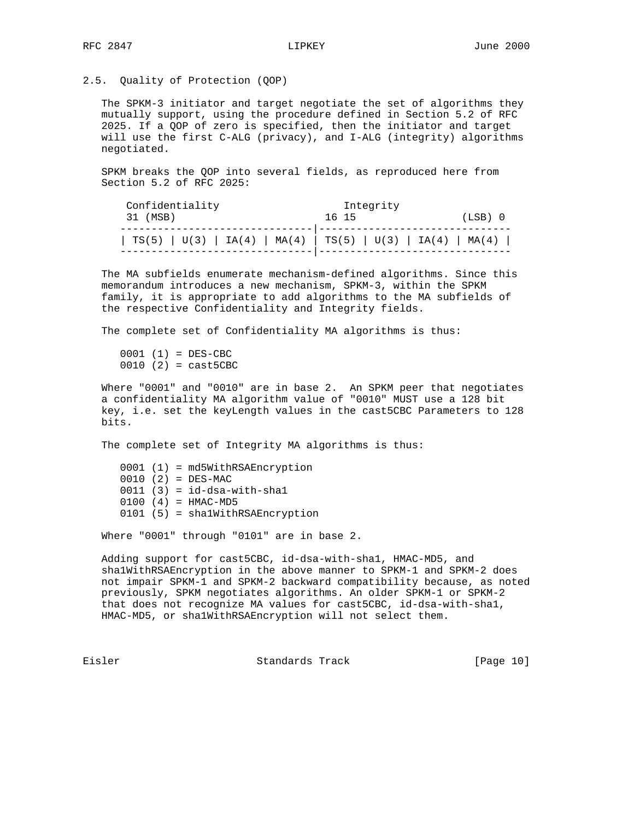2.5. Quality of Protection (QOP)

 The SPKM-3 initiator and target negotiate the set of algorithms they mutually support, using the procedure defined in Section 5.2 of RFC 2025. If a QOP of zero is specified, then the initiator and target will use the first C-ALG (privacy), and I-ALG (integrity) algorithms negotiated.

 SPKM breaks the QOP into several fields, as reproduced here from Section 5.2 of RFC 2025:

| Confidentiality                                               | Integrity       |
|---------------------------------------------------------------|-----------------|
| 31 (MSB)                                                      | (LSB) 0<br>1615 |
| $TS(5)   U(3)   IA(4)   MA(4)   TS(5)   U(3)   IA(4)   MA(4)$ |                 |

 The MA subfields enumerate mechanism-defined algorithms. Since this memorandum introduces a new mechanism, SPKM-3, within the SPKM family, it is appropriate to add algorithms to the MA subfields of the respective Confidentiality and Integrity fields.

The complete set of Confidentiality MA algorithms is thus:

 0001 (1) = DES-CBC  $0010$   $(2) = \text{cast5CBC}$ 

 Where "0001" and "0010" are in base 2. An SPKM peer that negotiates a confidentiality MA algorithm value of "0010" MUST use a 128 bit key, i.e. set the keyLength values in the cast5CBC Parameters to 128 bits.

The complete set of Integrity MA algorithms is thus:

 0001 (1) = md5WithRSAEncryption  $0010 (2) = DES-MAC$  $0011$   $(3) = id-dsa-with-shal$  0100 (4) = HMAC-MD5 0101 (5) = sha1WithRSAEncryption

Where "0001" through "0101" are in base 2.

 Adding support for cast5CBC, id-dsa-with-sha1, HMAC-MD5, and sha1WithRSAEncryption in the above manner to SPKM-1 and SPKM-2 does not impair SPKM-1 and SPKM-2 backward compatibility because, as noted previously, SPKM negotiates algorithms. An older SPKM-1 or SPKM-2 that does not recognize MA values for cast5CBC, id-dsa-with-sha1, HMAC-MD5, or sha1WithRSAEncryption will not select them.

Eisler Standards Track [Page 10]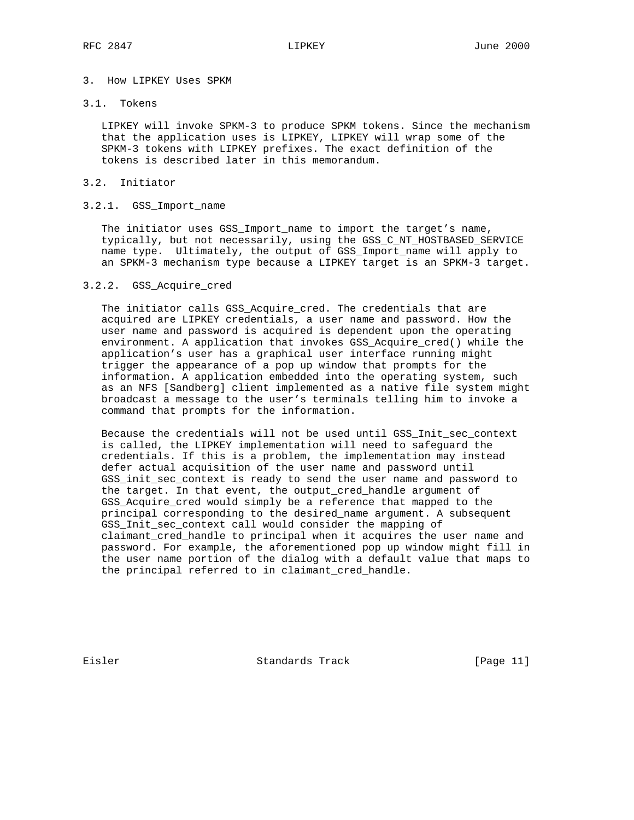## 3. How LIPKEY Uses SPKM

# 3.1. Tokens

 LIPKEY will invoke SPKM-3 to produce SPKM tokens. Since the mechanism that the application uses is LIPKEY, LIPKEY will wrap some of the SPKM-3 tokens with LIPKEY prefixes. The exact definition of the tokens is described later in this memorandum.

## 3.2. Initiator

## 3.2.1. GSS\_Import\_name

 The initiator uses GSS\_Import\_name to import the target's name, typically, but not necessarily, using the GSS\_C\_NT\_HOSTBASED\_SERVICE name type. Ultimately, the output of GSS\_Import\_name will apply to an SPKM-3 mechanism type because a LIPKEY target is an SPKM-3 target.

#### 3.2.2. GSS\_Acquire\_cred

 The initiator calls GSS\_Acquire\_cred. The credentials that are acquired are LIPKEY credentials, a user name and password. How the user name and password is acquired is dependent upon the operating environment. A application that invokes GSS\_Acquire\_cred() while the application's user has a graphical user interface running might trigger the appearance of a pop up window that prompts for the information. A application embedded into the operating system, such as an NFS [Sandberg] client implemented as a native file system might broadcast a message to the user's terminals telling him to invoke a command that prompts for the information.

 Because the credentials will not be used until GSS\_Init\_sec\_context is called, the LIPKEY implementation will need to safeguard the credentials. If this is a problem, the implementation may instead defer actual acquisition of the user name and password until GSS\_init\_sec\_context is ready to send the user name and password to the target. In that event, the output\_cred\_handle argument of GSS\_Acquire\_cred would simply be a reference that mapped to the principal corresponding to the desired\_name argument. A subsequent GSS\_Init\_sec\_context call would consider the mapping of claimant\_cred\_handle to principal when it acquires the user name and password. For example, the aforementioned pop up window might fill in the user name portion of the dialog with a default value that maps to the principal referred to in claimant\_cred\_handle.

Eisler Standards Track [Page 11]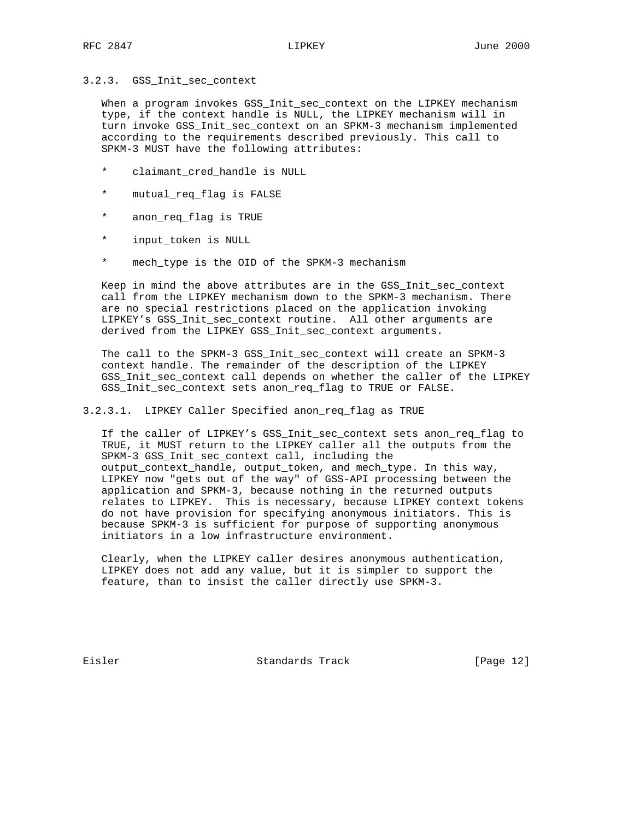### 3.2.3. GSS\_Init\_sec\_context

 When a program invokes GSS\_Init\_sec\_context on the LIPKEY mechanism type, if the context handle is NULL, the LIPKEY mechanism will in turn invoke GSS\_Init\_sec\_context on an SPKM-3 mechanism implemented according to the requirements described previously. This call to SPKM-3 MUST have the following attributes:

- \* claimant\_cred\_handle is NULL
- \* mutual\_req\_flag is FALSE
- \* anon\_req\_flag is TRUE
- \* input\_token is NULL
- \* mech\_type is the OID of the SPKM-3 mechanism

 Keep in mind the above attributes are in the GSS\_Init\_sec\_context call from the LIPKEY mechanism down to the SPKM-3 mechanism. There are no special restrictions placed on the application invoking LIPKEY's GSS\_Init\_sec\_context routine. All other arguments are derived from the LIPKEY GSS\_Init\_sec\_context arguments.

 The call to the SPKM-3 GSS\_Init\_sec\_context will create an SPKM-3 context handle. The remainder of the description of the LIPKEY GSS\_Init\_sec\_context call depends on whether the caller of the LIPKEY GSS\_Init\_sec\_context sets anon\_req\_flag to TRUE or FALSE.

3.2.3.1. LIPKEY Caller Specified anon\_req\_flag as TRUE

 If the caller of LIPKEY's GSS\_Init\_sec\_context sets anon\_req\_flag to TRUE, it MUST return to the LIPKEY caller all the outputs from the SPKM-3 GSS Init sec context call, including the output\_context\_handle, output\_token, and mech\_type. In this way, LIPKEY now "gets out of the way" of GSS-API processing between the application and SPKM-3, because nothing in the returned outputs relates to LIPKEY. This is necessary, because LIPKEY context tokens do not have provision for specifying anonymous initiators. This is because SPKM-3 is sufficient for purpose of supporting anonymous initiators in a low infrastructure environment.

 Clearly, when the LIPKEY caller desires anonymous authentication, LIPKEY does not add any value, but it is simpler to support the feature, than to insist the caller directly use SPKM-3.

Eisler Standards Track [Page 12]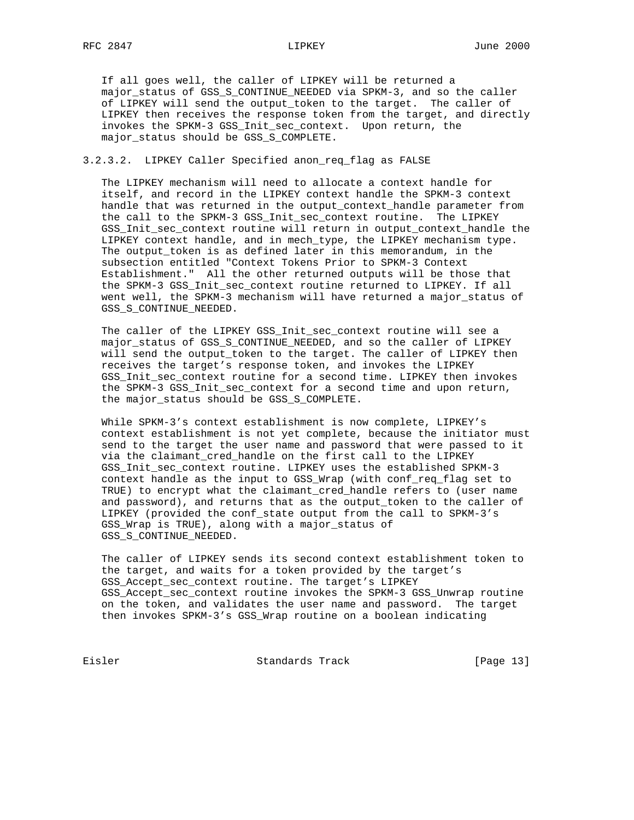If all goes well, the caller of LIPKEY will be returned a major\_status of GSS\_S\_CONTINUE\_NEEDED via SPKM-3, and so the caller of LIPKEY will send the output\_token to the target. The caller of LIPKEY then receives the response token from the target, and directly invokes the SPKM-3 GSS\_Init\_sec\_context. Upon return, the major\_status should be GSS\_S\_COMPLETE.

## 3.2.3.2. LIPKEY Caller Specified anon\_req\_flag as FALSE

 The LIPKEY mechanism will need to allocate a context handle for itself, and record in the LIPKEY context handle the SPKM-3 context handle that was returned in the output\_context\_handle parameter from the call to the SPKM-3 GSS\_Init\_sec\_context routine. The LIPKEY GSS\_Init\_sec\_context routine will return in output\_context\_handle the LIPKEY context handle, and in mech\_type, the LIPKEY mechanism type. The output token is as defined later in this memorandum, in the subsection entitled "Context Tokens Prior to SPKM-3 Context Establishment." All the other returned outputs will be those that the SPKM-3 GSS\_Init\_sec\_context routine returned to LIPKEY. If all went well, the SPKM-3 mechanism will have returned a major\_status of GSS\_S\_CONTINUE\_NEEDED.

 The caller of the LIPKEY GSS\_Init\_sec\_context routine will see a major\_status of GSS\_S\_CONTINUE\_NEEDED, and so the caller of LIPKEY will send the output\_token to the target. The caller of LIPKEY then receives the target's response token, and invokes the LIPKEY GSS\_Init\_sec\_context routine for a second time. LIPKEY then invokes the SPKM-3 GSS\_Init\_sec\_context for a second time and upon return, the major\_status should be GSS\_S\_COMPLETE.

 While SPKM-3's context establishment is now complete, LIPKEY's context establishment is not yet complete, because the initiator must send to the target the user name and password that were passed to it via the claimant\_cred\_handle on the first call to the LIPKEY GSS\_Init\_sec\_context routine. LIPKEY uses the established SPKM-3 context handle as the input to GSS\_Wrap (with conf\_req\_flag set to TRUE) to encrypt what the claimant\_cred\_handle refers to (user name and password), and returns that as the output\_token to the caller of LIPKEY (provided the conf\_state output from the call to SPKM-3's GSS\_Wrap is TRUE), along with a major\_status of GSS\_S\_CONTINUE\_NEEDED.

 The caller of LIPKEY sends its second context establishment token to the target, and waits for a token provided by the target's GSS\_Accept\_sec\_context routine. The target's LIPKEY GSS\_Accept\_sec\_context routine invokes the SPKM-3 GSS\_Unwrap routine on the token, and validates the user name and password. The target then invokes SPKM-3's GSS\_Wrap routine on a boolean indicating

Eisler Standards Track [Page 13]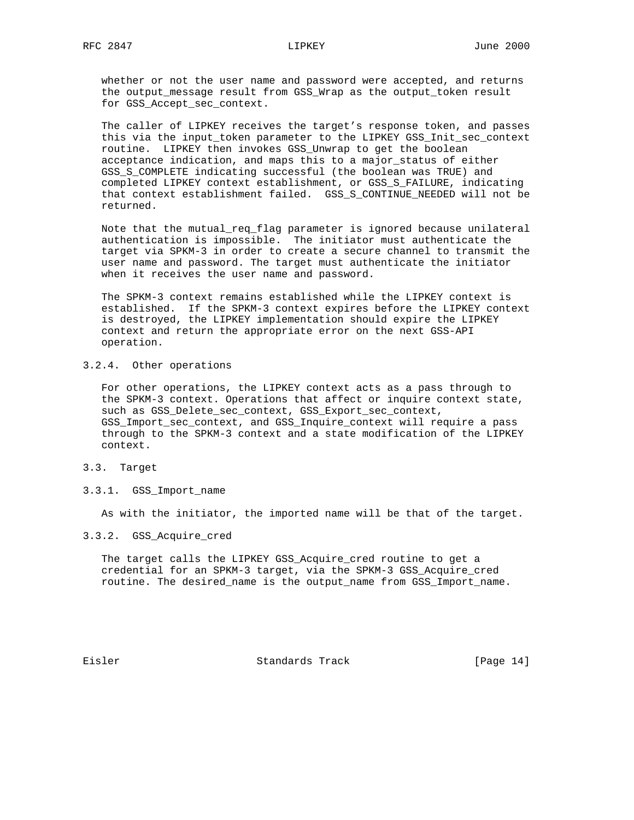whether or not the user name and password were accepted, and returns the output\_message result from GSS\_Wrap as the output\_token result for GSS\_Accept\_sec\_context.

 The caller of LIPKEY receives the target's response token, and passes this via the input\_token parameter to the LIPKEY GSS\_Init\_sec\_context routine. LIPKEY then invokes GSS\_Unwrap to get the boolean acceptance indication, and maps this to a major\_status of either GSS\_S\_COMPLETE indicating successful (the boolean was TRUE) and completed LIPKEY context establishment, or GSS\_S\_FAILURE, indicating that context establishment failed. GSS\_S\_CONTINUE\_NEEDED will not be returned.

 Note that the mutual\_req\_flag parameter is ignored because unilateral authentication is impossible. The initiator must authenticate the target via SPKM-3 in order to create a secure channel to transmit the user name and password. The target must authenticate the initiator when it receives the user name and password.

 The SPKM-3 context remains established while the LIPKEY context is established. If the SPKM-3 context expires before the LIPKEY context is destroyed, the LIPKEY implementation should expire the LIPKEY context and return the appropriate error on the next GSS-API operation.

# 3.2.4. Other operations

 For other operations, the LIPKEY context acts as a pass through to the SPKM-3 context. Operations that affect or inquire context state, such as GSS\_Delete\_sec\_context, GSS\_Export\_sec\_context, GSS\_Import\_sec\_context, and GSS\_Inquire\_context will require a pass through to the SPKM-3 context and a state modification of the LIPKEY context.

# 3.3. Target

3.3.1. GSS\_Import\_name

As with the initiator, the imported name will be that of the target.

## 3.3.2. GSS\_Acquire\_cred

 The target calls the LIPKEY GSS\_Acquire\_cred routine to get a credential for an SPKM-3 target, via the SPKM-3 GSS\_Acquire\_cred routine. The desired\_name is the output\_name from GSS\_Import\_name.

Eisler Standards Track [Page 14]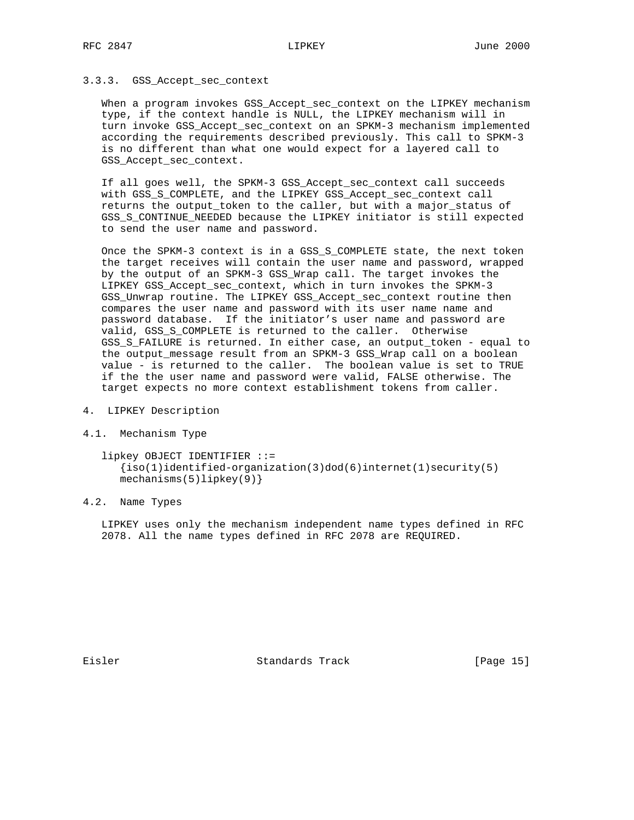### 3.3.3. GSS\_Accept\_sec\_context

When a program invokes GSS\_Accept\_sec\_context on the LIPKEY mechanism type, if the context handle is NULL, the LIPKEY mechanism will in turn invoke GSS\_Accept\_sec\_context on an SPKM-3 mechanism implemented according the requirements described previously. This call to SPKM-3 is no different than what one would expect for a layered call to GSS\_Accept\_sec\_context.

 If all goes well, the SPKM-3 GSS\_Accept\_sec\_context call succeeds with GSS\_S\_COMPLETE, and the LIPKEY GSS\_Accept\_sec\_context call returns the output\_token to the caller, but with a major\_status of GSS\_S\_CONTINUE\_NEEDED because the LIPKEY initiator is still expected to send the user name and password.

 Once the SPKM-3 context is in a GSS\_S\_COMPLETE state, the next token the target receives will contain the user name and password, wrapped by the output of an SPKM-3 GSS\_Wrap call. The target invokes the LIPKEY GSS\_Accept\_sec\_context, which in turn invokes the SPKM-3 GSS\_Unwrap routine. The LIPKEY GSS\_Accept\_sec\_context routine then compares the user name and password with its user name name and password database. If the initiator's user name and password are valid, GSS\_S\_COMPLETE is returned to the caller. Otherwise GSS\_S\_FAILURE is returned. In either case, an output\_token - equal to the output\_message result from an SPKM-3 GSS\_Wrap call on a boolean value - is returned to the caller. The boolean value is set to TRUE if the the user name and password were valid, FALSE otherwise. The target expects no more context establishment tokens from caller.

- 4. LIPKEY Description
- 4.1. Mechanism Type

 lipkey OBJECT IDENTIFIER ::= {iso(1)identified-organization(3)dod(6)internet(1)security(5) mechanisms(5)lipkey(9)}

### 4.2. Name Types

 LIPKEY uses only the mechanism independent name types defined in RFC 2078. All the name types defined in RFC 2078 are REQUIRED.

Eisler Standards Track [Page 15]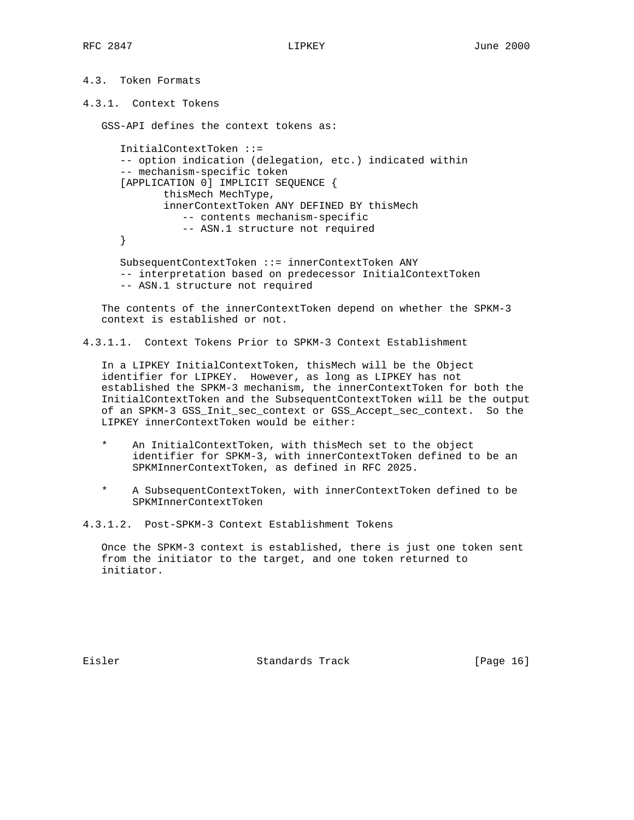```
4.3. Token Formats
```
4.3.1. Context Tokens

GSS-API defines the context tokens as:

```
 InitialContextToken ::=
-- option indication (delegation, etc.) indicated within
-- mechanism-specific token
[APPLICATION 0] IMPLICIT SEQUENCE {
       thisMech MechType,
       innerContextToken ANY DEFINED BY thisMech
          -- contents mechanism-specific
          -- ASN.1 structure not required
}
SubsequentContextToken ::= innerContextToken ANY
-- interpretation based on predecessor InitialContextToken
```
-- ASN.1 structure not required

 The contents of the innerContextToken depend on whether the SPKM-3 context is established or not.

```
4.3.1.1. Context Tokens Prior to SPKM-3 Context Establishment
```
 In a LIPKEY InitialContextToken, thisMech will be the Object identifier for LIPKEY. However, as long as LIPKEY has not established the SPKM-3 mechanism, the innerContextToken for both the InitialContextToken and the SubsequentContextToken will be the output of an SPKM-3 GSS\_Init\_sec\_context or GSS\_Accept\_sec\_context. So the LIPKEY innerContextToken would be either:

- \* An InitialContextToken, with thisMech set to the object identifier for SPKM-3, with innerContextToken defined to be an SPKMInnerContextToken, as defined in RFC 2025.
- A SubsequentContextToken, with innerContextToken defined to be SPKMInnerContextToken

4.3.1.2. Post-SPKM-3 Context Establishment Tokens

 Once the SPKM-3 context is established, there is just one token sent from the initiator to the target, and one token returned to initiator.

Eisler Standards Track [Page 16]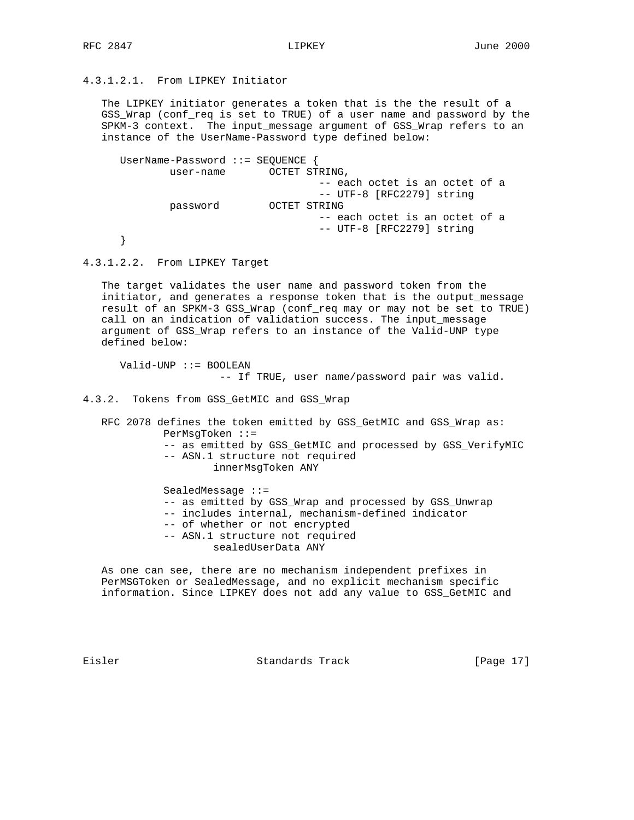# 4.3.1.2.1. From LIPKEY Initiator

 The LIPKEY initiator generates a token that is the the result of a GSS\_Wrap (conf\_req is set to TRUE) of a user name and password by the SPKM-3 context. The input\_message argument of GSS\_Wrap refers to an instance of the UserName-Password type defined below:

 UserName-Password ::= SEQUENCE { user-name OCTET STRING, -- each octet is an octet of a -- UTF-8 [RFC2279] string<br>OCTET STRING OCTET STRING -- each octet is an octet of a -- UTF-8 [RFC2279] string }

4.3.1.2.2. From LIPKEY Target

 The target validates the user name and password token from the initiator, and generates a response token that is the output\_message result of an SPKM-3 GSS\_Wrap (conf\_req may or may not be set to TRUE) call on an indication of validation success. The input\_message argument of GSS\_Wrap refers to an instance of the Valid-UNP type defined below:

 Valid-UNP ::= BOOLEAN -- If TRUE, user name/password pair was valid.

4.3.2. Tokens from GSS\_GetMIC and GSS\_Wrap

 RFC 2078 defines the token emitted by GSS\_GetMIC and GSS\_Wrap as: PerMsgToken ::= -- as emitted by GSS\_GetMIC and processed by GSS\_VerifyMIC -- ASN.1 structure not required innerMsgToken ANY SealedMessage ::= -- as emitted by GSS\_Wrap and processed by GSS\_Unwrap

- -- includes internal, mechanism-defined indicator
- -- of whether or not encrypted
- -- ASN.1 structure not required sealedUserData ANY

 As one can see, there are no mechanism independent prefixes in PerMSGToken or SealedMessage, and no explicit mechanism specific information. Since LIPKEY does not add any value to GSS\_GetMIC and

Eisler Standards Track [Page 17]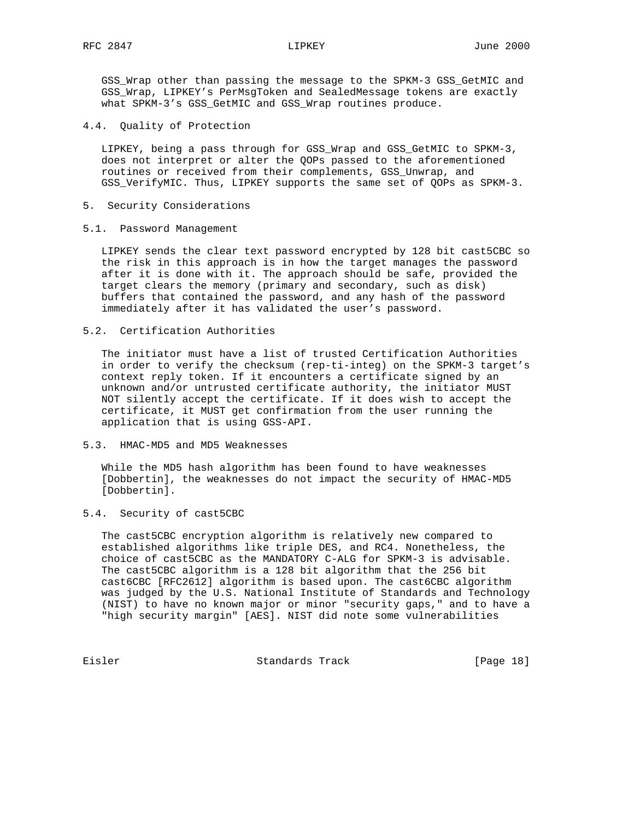GSS\_Wrap other than passing the message to the SPKM-3 GSS\_GetMIC and GSS\_Wrap, LIPKEY's PerMsgToken and SealedMessage tokens are exactly what SPKM-3's GSS\_GetMIC and GSS\_Wrap routines produce.

4.4. Quality of Protection

 LIPKEY, being a pass through for GSS\_Wrap and GSS\_GetMIC to SPKM-3, does not interpret or alter the QOPs passed to the aforementioned routines or received from their complements, GSS\_Unwrap, and GSS\_VerifyMIC. Thus, LIPKEY supports the same set of QOPs as SPKM-3.

- 5. Security Considerations
- 5.1. Password Management

 LIPKEY sends the clear text password encrypted by 128 bit cast5CBC so the risk in this approach is in how the target manages the password after it is done with it. The approach should be safe, provided the target clears the memory (primary and secondary, such as disk) buffers that contained the password, and any hash of the password immediately after it has validated the user's password.

5.2. Certification Authorities

 The initiator must have a list of trusted Certification Authorities in order to verify the checksum (rep-ti-integ) on the SPKM-3 target's context reply token. If it encounters a certificate signed by an unknown and/or untrusted certificate authority, the initiator MUST NOT silently accept the certificate. If it does wish to accept the certificate, it MUST get confirmation from the user running the application that is using GSS-API.

5.3. HMAC-MD5 and MD5 Weaknesses

 While the MD5 hash algorithm has been found to have weaknesses [Dobbertin], the weaknesses do not impact the security of HMAC-MD5 [Dobbertin].

5.4. Security of cast5CBC

 The cast5CBC encryption algorithm is relatively new compared to established algorithms like triple DES, and RC4. Nonetheless, the choice of cast5CBC as the MANDATORY C-ALG for SPKM-3 is advisable. The cast5CBC algorithm is a 128 bit algorithm that the 256 bit cast6CBC [RFC2612] algorithm is based upon. The cast6CBC algorithm was judged by the U.S. National Institute of Standards and Technology (NIST) to have no known major or minor "security gaps," and to have a "high security margin" [AES]. NIST did note some vulnerabilities

Eisler Standards Track [Page 18]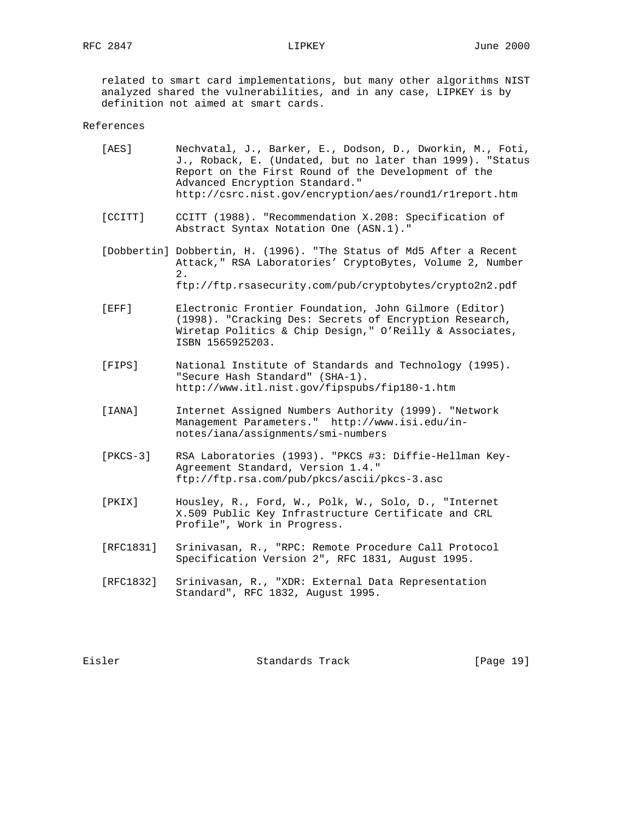related to smart card implementations, but many other algorithms NIST analyzed shared the vulnerabilities, and in any case, LIPKEY is by definition not aimed at smart cards.

### References

| [AES] | Nechvatal, J., Barker, E., Dodson, D., Dworkin, M., Foti, |
|-------|-----------------------------------------------------------|
|       | J., Roback, E. (Undated, but no later than 1999). "Status |
|       | Report on the First Round of the Development of the       |
|       | Advanced Encryption Standard."                            |
|       | http://csrc.nist.gov/encryption/aes/round1/r1report.htm   |

- [CCITT] CCITT (1988). "Recommendation X.208: Specification of Abstract Syntax Notation One (ASN.1)."
- [Dobbertin] Dobbertin, H. (1996). "The Status of Md5 After a Recent Attack," RSA Laboratories' CryptoBytes, Volume 2, Number 2. ftp://ftp.rsasecurity.com/pub/cryptobytes/crypto2n2.pdf
	- [EFF] Electronic Frontier Foundation, John Gilmore (Editor) (1998). "Cracking Des: Secrets of Encryption Research, Wiretap Politics & Chip Design," O'Reilly & Associates, ISBN 1565925203.
	- [FIPS] National Institute of Standards and Technology (1995). "Secure Hash Standard" (SHA-1). http://www.itl.nist.gov/fipspubs/fip180-1.htm
	- [IANA] Internet Assigned Numbers Authority (1999). "Network Management Parameters." http://www.isi.edu/in notes/iana/assignments/smi-numbers
	- [PKCS-3] RSA Laboratories (1993). "PKCS #3: Diffie-Hellman Key- Agreement Standard, Version 1.4." ftp://ftp.rsa.com/pub/pkcs/ascii/pkcs-3.asc
	- [PKIX] Housley, R., Ford, W., Polk, W., Solo, D., "Internet X.509 Public Key Infrastructure Certificate and CRL Profile", Work in Progress.
	- [RFC1831] Srinivasan, R., "RPC: Remote Procedure Call Protocol Specification Version 2", RFC 1831, August 1995.
	- [RFC1832] Srinivasan, R., "XDR: External Data Representation Standard", RFC 1832, August 1995.

Eisler Standards Track [Page 19]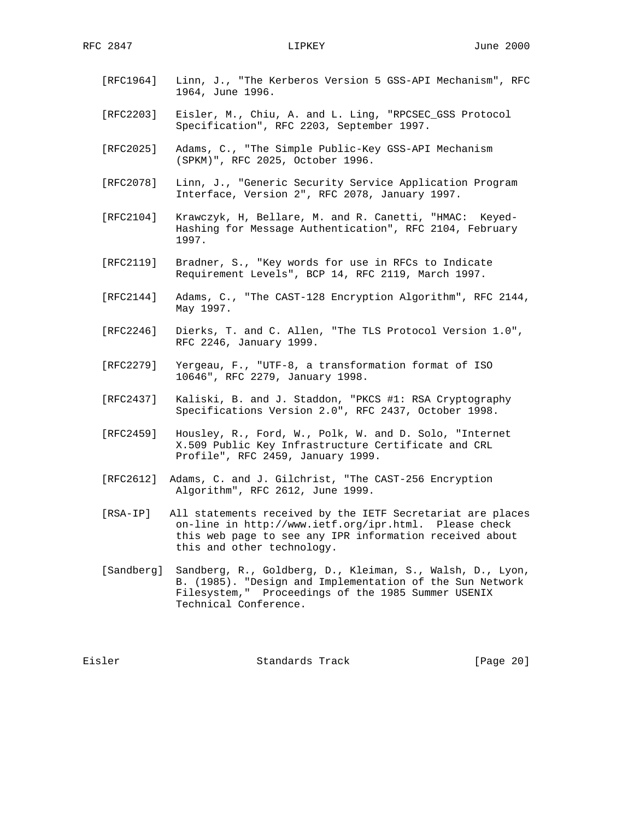- [RFC1964] Linn, J., "The Kerberos Version 5 GSS-API Mechanism", RFC 1964, June 1996.
- [RFC2203] Eisler, M., Chiu, A. and L. Ling, "RPCSEC\_GSS Protocol Specification", RFC 2203, September 1997.
- [RFC2025] Adams, C., "The Simple Public-Key GSS-API Mechanism (SPKM)", RFC 2025, October 1996.
- [RFC2078] Linn, J., "Generic Security Service Application Program Interface, Version 2", RFC 2078, January 1997.
- [RFC2104] Krawczyk, H, Bellare, M. and R. Canetti, "HMAC: Keyed- Hashing for Message Authentication", RFC 2104, February 1997.
- [RFC2119] Bradner, S., "Key words for use in RFCs to Indicate Requirement Levels", BCP 14, RFC 2119, March 1997.
- [RFC2144] Adams, C., "The CAST-128 Encryption Algorithm", RFC 2144, May 1997.
- [RFC2246] Dierks, T. and C. Allen, "The TLS Protocol Version 1.0", RFC 2246, January 1999.
- [RFC2279] Yergeau, F., "UTF-8, a transformation format of ISO 10646", RFC 2279, January 1998.
- [RFC2437] Kaliski, B. and J. Staddon, "PKCS #1: RSA Cryptography Specifications Version 2.0", RFC 2437, October 1998.
- [RFC2459] Housley, R., Ford, W., Polk, W. and D. Solo, "Internet X.509 Public Key Infrastructure Certificate and CRL Profile", RFC 2459, January 1999.
- [RFC2612] Adams, C. and J. Gilchrist, "The CAST-256 Encryption Algorithm", RFC 2612, June 1999.
- [RSA-IP] All statements received by the IETF Secretariat are places on-line in http://www.ietf.org/ipr.html. Please check this web page to see any IPR information received about this and other technology.
- [Sandberg] Sandberg, R., Goldberg, D., Kleiman, S., Walsh, D., Lyon, B. (1985). "Design and Implementation of the Sun Network Filesystem," Proceedings of the 1985 Summer USENIX Technical Conference.

Eisler Standards Track [Page 20]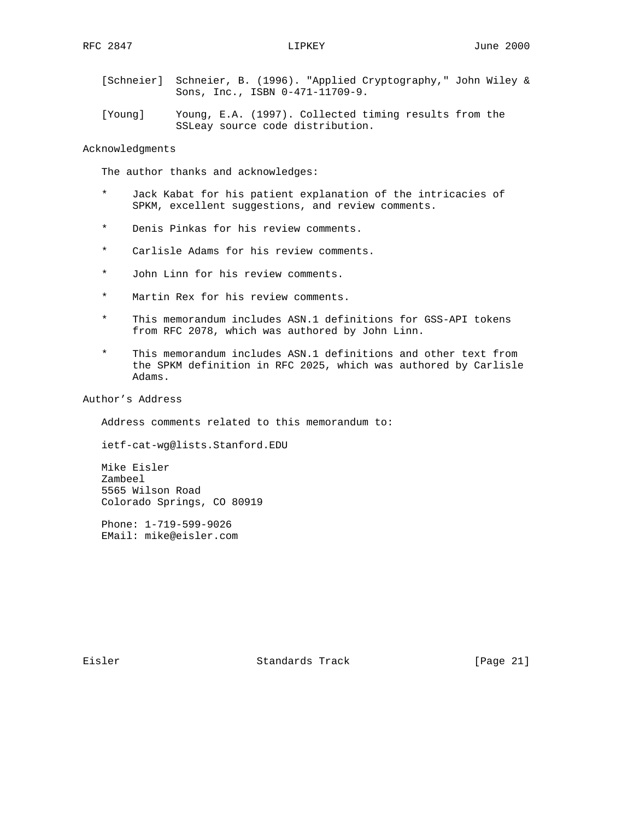- [Schneier] Schneier, B. (1996). "Applied Cryptography," John Wiley & Sons, Inc., ISBN 0-471-11709-9.
- [Young] Young, E.A. (1997). Collected timing results from the SSLeay source code distribution.

Acknowledgments

The author thanks and acknowledges:

- \* Jack Kabat for his patient explanation of the intricacies of SPKM, excellent suggestions, and review comments.
- \* Denis Pinkas for his review comments.
- \* Carlisle Adams for his review comments.
- \* John Linn for his review comments.
- \* Martin Rex for his review comments.
- \* This memorandum includes ASN.1 definitions for GSS-API tokens from RFC 2078, which was authored by John Linn.
- This memorandum includes ASN.1 definitions and other text from the SPKM definition in RFC 2025, which was authored by Carlisle Adams.

Author's Address

Address comments related to this memorandum to:

ietf-cat-wg@lists.Stanford.EDU

 Mike Eisler Zambeel 5565 Wilson Road Colorado Springs, CO 80919

 Phone: 1-719-599-9026 EMail: mike@eisler.com

Eisler Standards Track [Page 21]